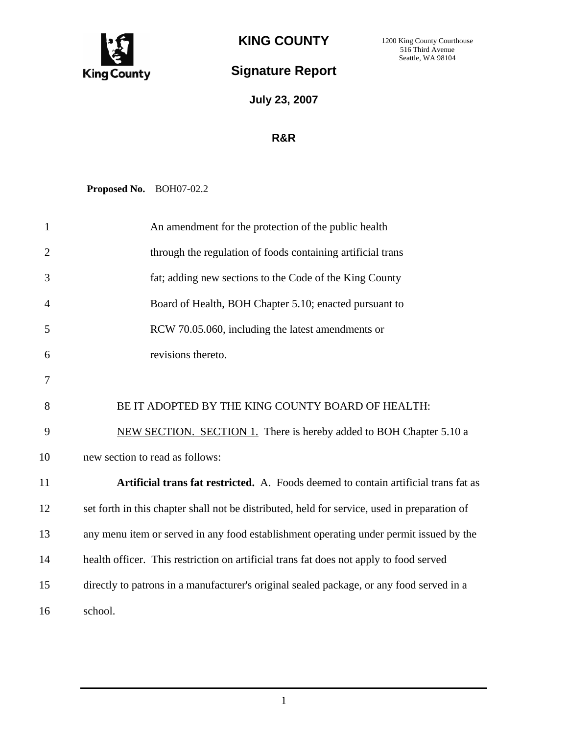

**KING COUNTY** 

1200 King County Courthouse 516 Third Avenue Seattle, WA 98104

## **Signature Report**

**July 23, 2007**

## **R&R**

**Proposed No.** BOH07-02.2

| $\mathbf{1}$   | An amendment for the protection of the public health                                         |
|----------------|----------------------------------------------------------------------------------------------|
| $\overline{2}$ | through the regulation of foods containing artificial trans                                  |
| 3              | fat; adding new sections to the Code of the King County                                      |
| $\overline{4}$ | Board of Health, BOH Chapter 5.10; enacted pursuant to                                       |
| 5              | RCW 70.05.060, including the latest amendments or                                            |
| 6              | revisions thereto.                                                                           |
| 7              |                                                                                              |
| 8              | BE IT ADOPTED BY THE KING COUNTY BOARD OF HEALTH:                                            |
| 9              | NEW SECTION. SECTION 1. There is hereby added to BOH Chapter 5.10 a                          |
| 10             | new section to read as follows:                                                              |
| 11             | Artificial trans fat restricted. A. Foods deemed to contain artificial trans fat as          |
| 12             | set forth in this chapter shall not be distributed, held for service, used in preparation of |
| 13             | any menu item or served in any food establishment operating under permit issued by the       |
| 14             | health officer. This restriction on artificial trans fat does not apply to food served       |
| 15             | directly to patrons in a manufacturer's original sealed package, or any food served in a     |
| 16             | school.                                                                                      |

1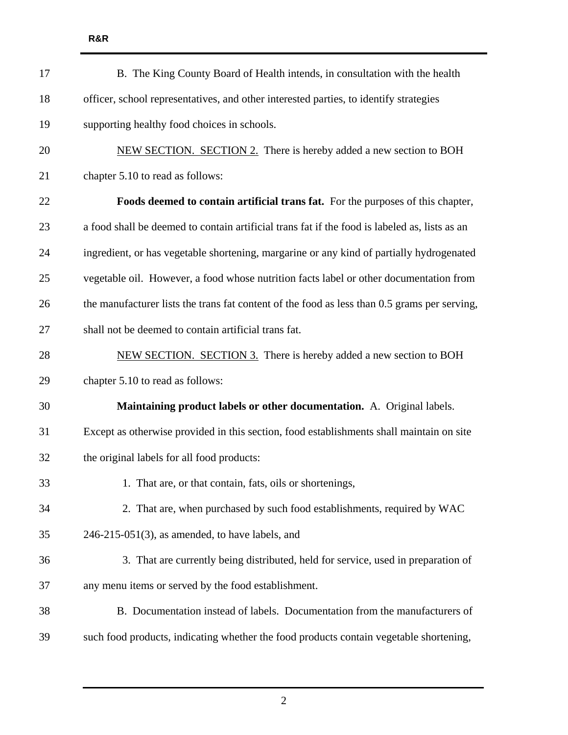| 17 | B. The King County Board of Health intends, in consultation with the health                   |
|----|-----------------------------------------------------------------------------------------------|
| 18 | officer, school representatives, and other interested parties, to identify strategies         |
| 19 | supporting healthy food choices in schools.                                                   |
| 20 | NEW SECTION. SECTION 2. There is hereby added a new section to BOH                            |
| 21 | chapter 5.10 to read as follows:                                                              |
| 22 | Foods deemed to contain artificial trans fat. For the purposes of this chapter,               |
| 23 | a food shall be deemed to contain artificial trans fat if the food is labeled as, lists as an |
| 24 | ingredient, or has vegetable shortening, margarine or any kind of partially hydrogenated      |
| 25 | vegetable oil. However, a food whose nutrition facts label or other documentation from        |
| 26 | the manufacturer lists the trans fat content of the food as less than 0.5 grams per serving,  |
| 27 | shall not be deemed to contain artificial trans fat.                                          |
| 28 | NEW SECTION. SECTION 3. There is hereby added a new section to BOH                            |
| 29 | chapter 5.10 to read as follows:                                                              |
| 30 | Maintaining product labels or other documentation. A. Original labels.                        |
| 31 | Except as otherwise provided in this section, food establishments shall maintain on site      |
| 32 | the original labels for all food products:                                                    |
| 33 | 1. That are, or that contain, fats, oils or shortenings,                                      |
| 34 | 2. That are, when purchased by such food establishments, required by WAC                      |
| 35 | $246-215-051(3)$ , as amended, to have labels, and                                            |
| 36 | 3. That are currently being distributed, held for service, used in preparation of             |
| 37 | any menu items or served by the food establishment.                                           |
| 38 | B. Documentation instead of labels. Documentation from the manufacturers of                   |
| 39 | such food products, indicating whether the food products contain vegetable shortening,        |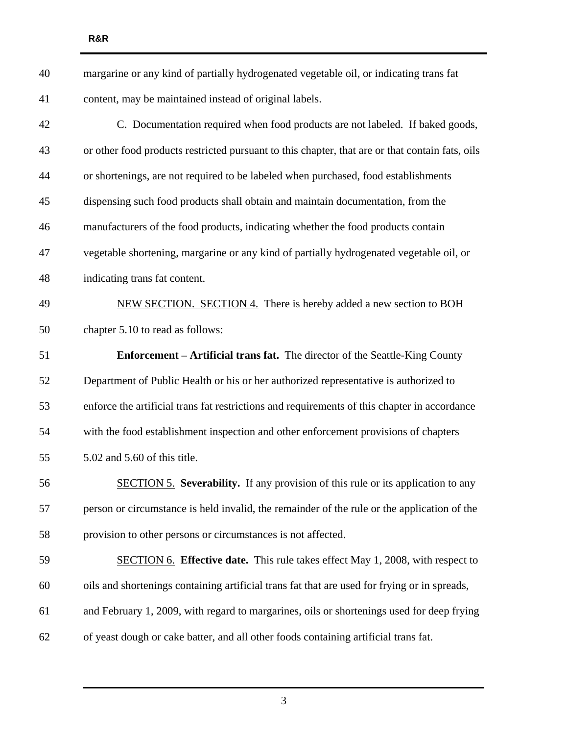| 40 | margarine or any kind of partially hydrogenated vegetable oil, or indicating trans fat          |
|----|-------------------------------------------------------------------------------------------------|
| 41 | content, may be maintained instead of original labels.                                          |
| 42 | C. Documentation required when food products are not labeled. If baked goods,                   |
| 43 | or other food products restricted pursuant to this chapter, that are or that contain fats, oils |
| 44 | or shortenings, are not required to be labeled when purchased, food establishments              |
| 45 | dispensing such food products shall obtain and maintain documentation, from the                 |
| 46 | manufacturers of the food products, indicating whether the food products contain                |
| 47 | vegetable shortening, margarine or any kind of partially hydrogenated vegetable oil, or         |
| 48 | indicating trans fat content.                                                                   |
| 49 | NEW SECTION. SECTION 4. There is hereby added a new section to BOH                              |
| 50 | chapter 5.10 to read as follows:                                                                |
| 51 | <b>Enforcement – Artificial trans fat.</b> The director of the Seattle-King County              |
| 52 | Department of Public Health or his or her authorized representative is authorized to            |
| 53 | enforce the artificial trans fat restrictions and requirements of this chapter in accordance    |
| 54 | with the food establishment inspection and other enforcement provisions of chapters             |
| 55 | 5.02 and 5.60 of this title.                                                                    |
| 56 | <b>SECTION 5. Severability.</b> If any provision of this rule or its application to any         |
| 57 | person or circumstance is held invalid, the remainder of the rule or the application of the     |
| 58 | provision to other persons or circumstances is not affected.                                    |
| 59 | <b>SECTION 6.</b> Effective date. This rule takes effect May 1, 2008, with respect to           |
| 60 | oils and shortenings containing artificial trans fat that are used for frying or in spreads,    |
| 61 | and February 1, 2009, with regard to margarines, oils or shortenings used for deep frying       |
| 62 | of yeast dough or cake batter, and all other foods containing artificial trans fat.             |

**R&R** 

3